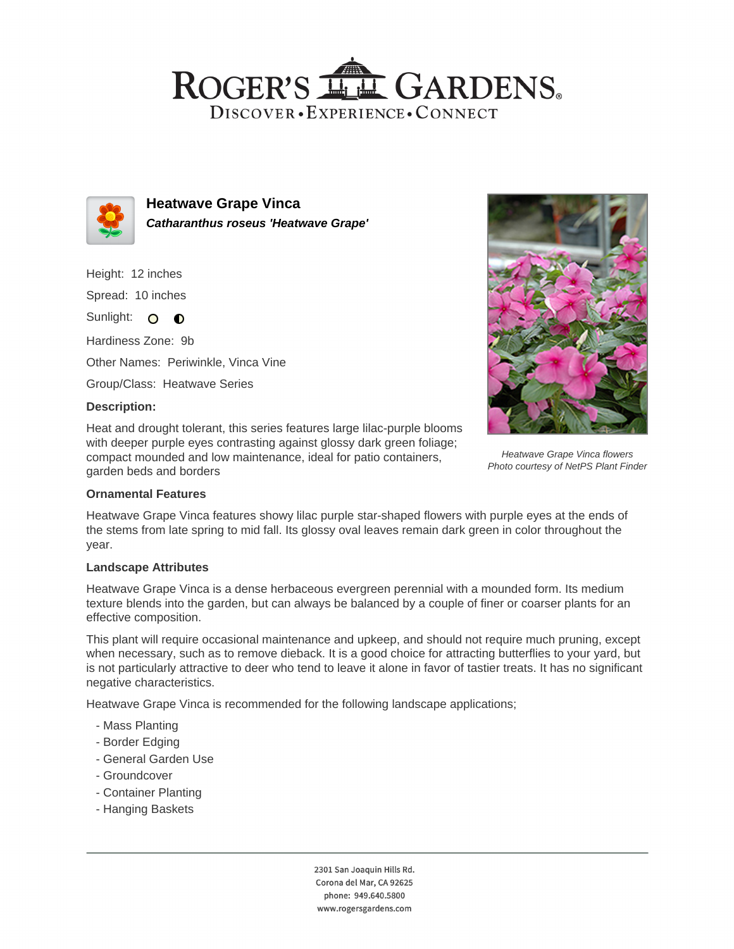## ROGER'S LL GARDENS. DISCOVER · EXPERIENCE · CONNECT



**Heatwave Grape Vinca Catharanthus roseus 'Heatwave Grape'**

Height: 12 inches Spread: 10 inches

Sunlight: O **O** 

Hardiness Zone: 9b

Other Names: Periwinkle, Vinca Vine

Group/Class: Heatwave Series

### **Description:**

Heat and drought tolerant, this series features large lilac-purple blooms with deeper purple eyes contrasting against glossy dark green foliage; compact mounded and low maintenance, ideal for patio containers, garden beds and borders



Heatwave Grape Vinca flowers Photo courtesy of NetPS Plant Finder

#### **Ornamental Features**

Heatwave Grape Vinca features showy lilac purple star-shaped flowers with purple eyes at the ends of the stems from late spring to mid fall. Its glossy oval leaves remain dark green in color throughout the year.

#### **Landscape Attributes**

Heatwave Grape Vinca is a dense herbaceous evergreen perennial with a mounded form. Its medium texture blends into the garden, but can always be balanced by a couple of finer or coarser plants for an effective composition.

This plant will require occasional maintenance and upkeep, and should not require much pruning, except when necessary, such as to remove dieback. It is a good choice for attracting butterflies to your yard, but is not particularly attractive to deer who tend to leave it alone in favor of tastier treats. It has no significant negative characteristics.

Heatwave Grape Vinca is recommended for the following landscape applications;

- Mass Planting
- Border Edging
- General Garden Use
- Groundcover
- Container Planting
- Hanging Baskets

2301 San Joaquin Hills Rd. Corona del Mar, CA 92625 phone: 949.640.5800 www.rogersgardens.com